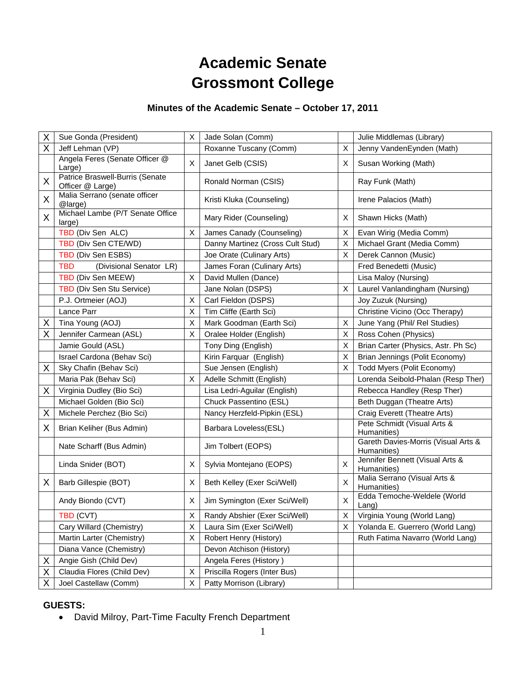# **Academic Senate Grossmont College**

# **Minutes of the Academic Senate – October 17, 2011**

| Χ  | Sue Gonda (President)                               | Х | Jade Solan (Comm)                |                           | Julie Middlemas (Library)                          |
|----|-----------------------------------------------------|---|----------------------------------|---------------------------|----------------------------------------------------|
| X  | Jeff Lehman (VP)                                    |   | Roxanne Tuscany (Comm)           | $\sf X$                   | Jenny VandenEynden (Math)                          |
|    | Angela Feres (Senate Officer @<br>Large)            | X | Janet Gelb (CSIS)                | X                         | Susan Working (Math)                               |
| X  | Patrice Braswell-Burris (Senate<br>Officer @ Large) |   | Ronald Norman (CSIS)             |                           | Ray Funk (Math)                                    |
| X  | Malia Serrano (senate officer<br>@large)            |   | Kristi Kluka (Counseling)        |                           | Irene Palacios (Math)                              |
| X  | Michael Lambe (P/T Senate Office<br>large)          |   | Mary Rider (Counseling)          | Χ                         | Shawn Hicks (Math)                                 |
|    | TBD (Div Sen ALC)                                   | X | James Canady (Counseling)        | X                         | Evan Wirig (Media Comm)                            |
|    | TBD (Div Sen CTE/WD)                                |   | Danny Martinez (Cross Cult Stud) | X                         | Michael Grant (Media Comm)                         |
|    | TBD (Div Sen ESBS)                                  |   | Joe Orate (Culinary Arts)        | X                         | Derek Cannon (Music)                               |
|    | <b>TBD</b><br>(Divisional Senator LR)               |   | James Foran (Culinary Arts)      |                           | Fred Benedetti (Music)                             |
|    | TBD (Div Sen MEEW)                                  | X | David Mullen (Dance)             |                           | Lisa Maloy (Nursing)                               |
|    | TBD (Div Sen Stu Service)                           |   | Jane Nolan (DSPS)                | X                         | Laurel Vanlandingham (Nursing)                     |
|    | P.J. Ortmeier (AOJ)                                 | X | Carl Fieldon (DSPS)              |                           | Joy Zuzuk (Nursing)                                |
|    | Lance Parr                                          | X | Tim Cliffe (Earth Sci)           |                           | Christine Vicino (Occ Therapy)                     |
| X  | Tina Young (AOJ)                                    | X | Mark Goodman (Earth Sci)         | X                         | June Yang (Phil/ Rel Studies)                      |
| X  | Jennifer Carmean (ASL)                              | X | Oralee Holder (English)          | X                         | Ross Cohen (Physics)                               |
|    | Jamie Gould (ASL)                                   |   | Tony Ding (English)              | $\boldsymbol{\mathsf{X}}$ | Brian Carter (Physics, Astr. Ph Sc)                |
|    | Israel Cardona (Behav Sci)                          |   | Kirin Farquar (English)          | X                         | Brian Jennings (Polit Economy)                     |
| X  | Sky Chafin (Behav Sci)                              |   | Sue Jensen (English)             | X                         | Todd Myers (Polit Economy)                         |
|    | Maria Pak (Behav Sci)                               | X | Adelle Schmitt (English)         |                           | Lorenda Seibold-Phalan (Resp Ther)                 |
| X  | Virginia Dudley (Bio Sci)                           |   | Lisa Ledri-Aguilar (English)     |                           | Rebecca Handley (Resp Ther)                        |
|    | Michael Golden (Bio Sci)                            |   | Chuck Passentino (ESL)           |                           | Beth Duggan (Theatre Arts)                         |
| Χ  | Michele Perchez (Bio Sci)                           |   | Nancy Herzfeld-Pipkin (ESL)      |                           | Craig Everett (Theatre Arts)                       |
| X  | Brian Keliher (Bus Admin)                           |   | Barbara Loveless(ESL)            |                           | Pete Schmidt (Visual Arts &<br>Humanities)         |
|    | Nate Scharff (Bus Admin)                            |   | Jim Tolbert (EOPS)               |                           | Gareth Davies-Morris (Visual Arts &<br>Humanities) |
|    | Linda Snider (BOT)                                  | X | Sylvia Montejano (EOPS)          | $\boldsymbol{\mathsf{X}}$ | Jennifer Bennett (Visual Arts &<br>Humanities)     |
| X. | Barb Gillespie (BOT)                                | X | Beth Kelley (Exer Sci/Well)      | X                         | Malia Serrano (Visual Arts &<br>Humanities)        |
|    | Andy Biondo (CVT)                                   | X | Jim Symington (Exer Sci/Well)    | X                         | Edda Temoche-Weldele (World<br>Lang)               |
|    | TBD (CVT)                                           | Χ | Randy Abshier (Exer Sci/Well)    | Χ                         | Virginia Young (World Lang)                        |
|    | Cary Willard (Chemistry)                            | X | Laura Sim (Exer Sci/Well)        | Χ                         | Yolanda E. Guerrero (World Lang)                   |
|    | Martin Larter (Chemistry)                           | X | Robert Henry (History)           |                           | Ruth Fatima Navarro (World Lang)                   |
|    | Diana Vance (Chemistry)                             |   | Devon Atchison (History)         |                           |                                                    |
| Χ  | Angie Gish (Child Dev)                              |   | Angela Feres (History)           |                           |                                                    |
| Χ  | Claudia Flores (Child Dev)                          | Х | Priscilla Rogers (Inter Bus)     |                           |                                                    |
| Χ  | Joel Castellaw (Comm)                               | Х | Patty Morrison (Library)         |                           |                                                    |

## **GUESTS:**

David Milroy, Part-Time Faculty French Department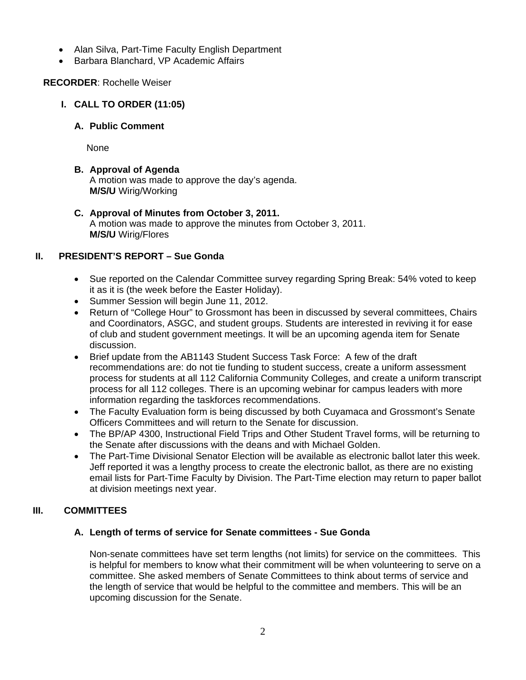- Alan Silva, Part-Time Faculty English Department
- Barbara Blanchard, VP Academic Affairs

## **RECORDER**: Rochelle Weiser

- **I. CALL TO ORDER (11:05)** 
	- **A. Public Comment**

None

- **B. Approval of Agenda**  A motion was made to approve the day's agenda. **M/S/U** Wirig/Working
- **C. Approval of Minutes from October 3, 2011.**  A motion was made to approve the minutes from October 3, 2011. **M/S/U** Wirig/Flores

## **II. PRESIDENT'S REPORT – Sue Gonda**

- Sue reported on the Calendar Committee survey regarding Spring Break: 54% voted to keep it as it is (the week before the Easter Holiday).
- Summer Session will begin June 11, 2012.
- Return of "College Hour" to Grossmont has been in discussed by several committees, Chairs and Coordinators, ASGC, and student groups. Students are interested in reviving it for ease of club and student government meetings. It will be an upcoming agenda item for Senate discussion.
- Brief update from the AB1143 Student Success Task Force: A few of the draft recommendations are: do not tie funding to student success, create a uniform assessment process for students at all 112 California Community Colleges, and create a uniform transcript process for all 112 colleges. There is an upcoming webinar for campus leaders with more information regarding the taskforces recommendations.
- The Faculty Evaluation form is being discussed by both Cuyamaca and Grossmont's Senate Officers Committees and will return to the Senate for discussion.
- The BP/AP 4300, Instructional Field Trips and Other Student Travel forms, will be returning to the Senate after discussions with the deans and with Michael Golden.
- The Part-Time Divisional Senator Election will be available as electronic ballot later this week. Jeff reported it was a lengthy process to create the electronic ballot, as there are no existing email lists for Part-Time Faculty by Division. The Part-Time election may return to paper ballot at division meetings next year.

# **III. COMMITTEES**

## **A. Length of terms of service for Senate committees - Sue Gonda**

Non-senate committees have set term lengths (not limits) for service on the committees. This is helpful for members to know what their commitment will be when volunteering to serve on a committee. She asked members of Senate Committees to think about terms of service and the length of service that would be helpful to the committee and members. This will be an upcoming discussion for the Senate.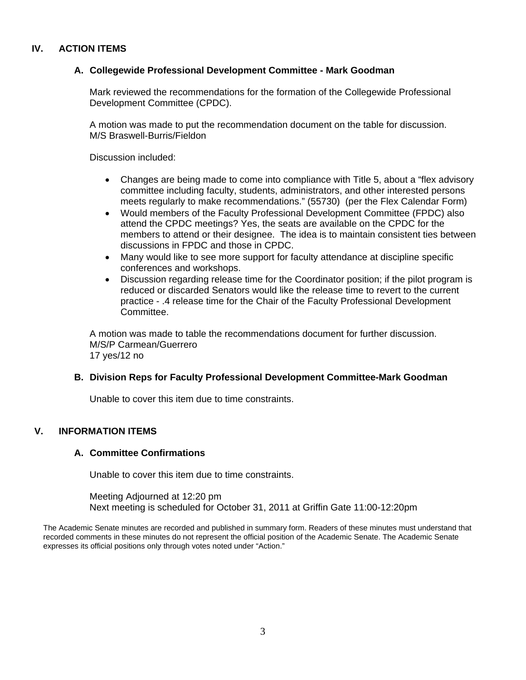## **IV. ACTION ITEMS**

#### **A. Collegewide Professional Development Committee - Mark Goodman**

Mark reviewed the recommendations for the formation of the Collegewide Professional Development Committee (CPDC).

A motion was made to put the recommendation document on the table for discussion. M/S Braswell-Burris/Fieldon

Discussion included:

- Changes are being made to come into compliance with Title 5, about a "flex advisory committee including faculty, students, administrators, and other interested persons meets regularly to make recommendations." (55730) (per the Flex Calendar Form)
- Would members of the Faculty Professional Development Committee (FPDC) also attend the CPDC meetings? Yes, the seats are available on the CPDC for the members to attend or their designee. The idea is to maintain consistent ties between discussions in FPDC and those in CPDC.
- Many would like to see more support for faculty attendance at discipline specific conferences and workshops.
- Discussion regarding release time for the Coordinator position; if the pilot program is reduced or discarded Senators would like the release time to revert to the current practice - .4 release time for the Chair of the Faculty Professional Development Committee.

A motion was made to table the recommendations document for further discussion. M/S/P Carmean/Guerrero 17 yes/12 no

#### **B. Division Reps for Faculty Professional Development Committee-Mark Goodman**

Unable to cover this item due to time constraints.

### **V. INFORMATION ITEMS**

#### **A. Committee Confirmations**

Unable to cover this item due to time constraints.

Meeting Adjourned at 12:20 pm Next meeting is scheduled for October 31, 2011 at Griffin Gate 11:00-12:20pm

The Academic Senate minutes are recorded and published in summary form. Readers of these minutes must understand that recorded comments in these minutes do not represent the official position of the Academic Senate. The Academic Senate expresses its official positions only through votes noted under "Action."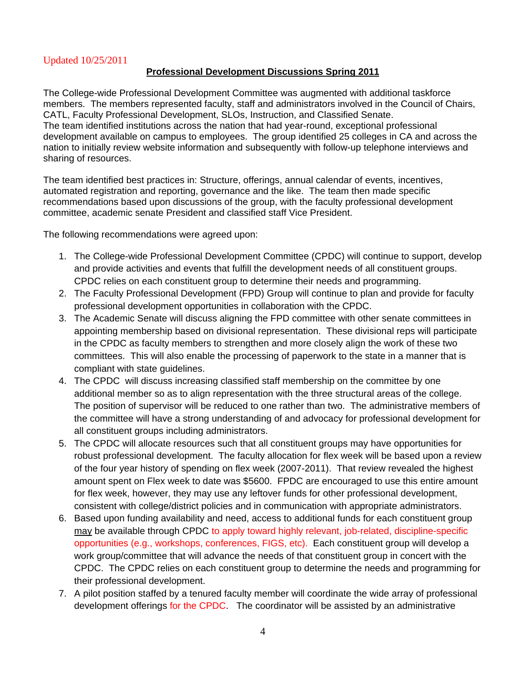## Updated 10/25/2011

#### **Professional Development Discussions Spring 2011**

The College-wide Professional Development Committee was augmented with additional taskforce members. The members represented faculty, staff and administrators involved in the Council of Chairs, CATL, Faculty Professional Development, SLOs, Instruction, and Classified Senate. The team identified institutions across the nation that had year-round, exceptional professional development available on campus to employees. The group identified 25 colleges in CA and across the nation to initially review website information and subsequently with follow-up telephone interviews and sharing of resources.

The team identified best practices in: Structure, offerings, annual calendar of events, incentives, automated registration and reporting, governance and the like. The team then made specific recommendations based upon discussions of the group, with the faculty professional development committee, academic senate President and classified staff Vice President.

The following recommendations were agreed upon:

- 1. The College-wide Professional Development Committee (CPDC) will continue to support, develop and provide activities and events that fulfill the development needs of all constituent groups. CPDC relies on each constituent group to determine their needs and programming.
- 2. The Faculty Professional Development (FPD) Group will continue to plan and provide for faculty professional development opportunities in collaboration with the CPDC.
- 3. The Academic Senate will discuss aligning the FPD committee with other senate committees in appointing membership based on divisional representation. These divisional reps will participate in the CPDC as faculty members to strengthen and more closely align the work of these two committees. This will also enable the processing of paperwork to the state in a manner that is compliant with state guidelines.
- 4. The CPDC will discuss increasing classified staff membership on the committee by one additional member so as to align representation with the three structural areas of the college. The position of supervisor will be reduced to one rather than two. The administrative members of the committee will have a strong understanding of and advocacy for professional development for all constituent groups including administrators.
- 5. The CPDC will allocate resources such that all constituent groups may have opportunities for robust professional development. The faculty allocation for flex week will be based upon a review of the four year history of spending on flex week (2007-2011). That review revealed the highest amount spent on Flex week to date was \$5600. FPDC are encouraged to use this entire amount for flex week, however, they may use any leftover funds for other professional development, consistent with college/district policies and in communication with appropriate administrators.
- 6. Based upon funding availability and need, access to additional funds for each constituent group may be available through CPDC to apply toward highly relevant, job-related, discipline-specific opportunities (e.g., workshops, conferences, FIGS, etc). Each constituent group will develop a work group/committee that will advance the needs of that constituent group in concert with the CPDC. The CPDC relies on each constituent group to determine the needs and programming for their professional development.
- 7. A pilot position staffed by a tenured faculty member will coordinate the wide array of professional development offerings for the CPDC. The coordinator will be assisted by an administrative